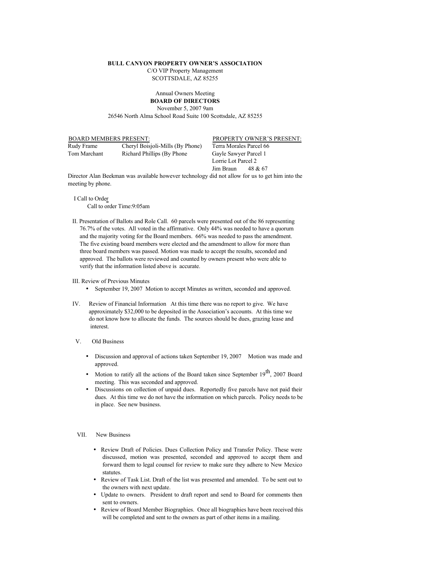## **BULL CANYON PROPERTY OWNER'S ASSOCIATION**

C/O VIP Property Management SCOTTSDALE, AZ 85255

## Annual Owners Meeting **BOARD OF DIRECTORS**

November 5, 2007 9am

26546 North Alma School Road Suite 100 Scottsdale, AZ 85255

Rudy Frame Cheryl Boisjoli-Mills (By Phone) Terra Morales Parcel 66

Tom Marchant Richard Phillips (By Phone Gayle Sawyer Parcel 1

BOARD MEMBERS PRESENT: PROPERTY OWNER'S PRESENT:

Lorrie Lot Parcel 2 Jim Braun 48 & 67

Director Alan Beekman was available however technology did not allow for us to get him into the meeting by phone.

 I Call to Order Call to order Time:9:05am

II. Presentation of Ballots and Role Call. 60 parcels were presented out of the 86 representing 76.7% of the votes. All voted in the affirmative. Only 44% was needed to have a quorum and the majority voting for the Board members. 66% was needed to pass the amendment. The five existing board members were elected and the amendment to allow for more than three board members was passed. Motion was made to accept the results, seconded and approved. The ballots were reviewed and counted by owners present who were able to verify that the information listed above is accurate.

III. Review of Previous Minutes

- September 19, 2007 Motion to accept Minutes as written, seconded and approved.
- IV. Review of Financial Information At this time there was no report to give. We have approximately \$32,000 to be deposited in the Association's accounts. At this time we do not know how to allocate the funds. The sources should be dues, grazing lease and interest.
- V. Old Business
	- Discussion and approval of actions taken September 19, 2007 Motion was made and approved.
	- Motion to ratify all the actions of the Board taken since September  $19^{th}$ , 2007 Board meeting. This was seconded and approved.
	- Discussions on collection of unpaid dues. Reportedly five parcels have not paid their dues. At this time we do not have the information on which parcels. Policy needs to be in place. See new business.

## VII. New Business

- Review Draft of Policies. Dues Collection Policy and Transfer Policy. These were discussed, motion was presented, seconded and approved to accept them and forward them to legal counsel for review to make sure they adhere to New Mexico statutes.
- Review of Task List. Draft of the list was presented and amended. To be sent out to the owners with next update.
- Update to owners. President to draft report and send to Board for comments then sent to owners.
- Review of Board Member Biographies. Once all biographies have been received this will be completed and sent to the owners as part of other items in a mailing.